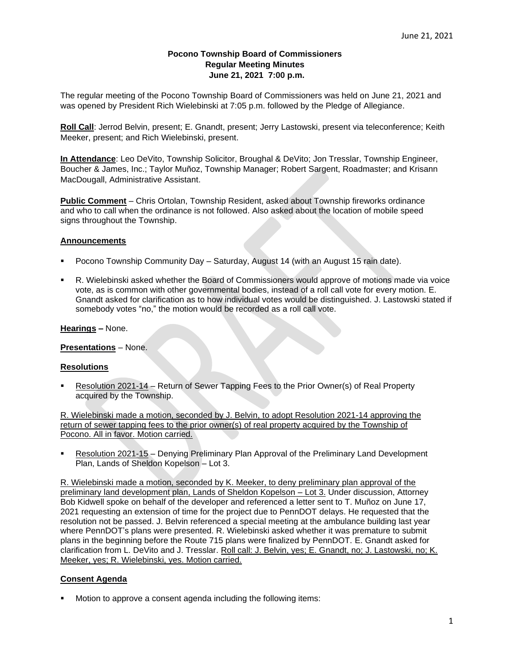## **Pocono Township Board of Commissioners Regular Meeting Minutes June 21, 2021 7:00 p.m.**

The regular meeting of the Pocono Township Board of Commissioners was held on June 21, 2021 and was opened by President Rich Wielebinski at 7:05 p.m. followed by the Pledge of Allegiance.

**Roll Call**: Jerrod Belvin, present; E. Gnandt, present; Jerry Lastowski, present via teleconference; Keith Meeker, present; and Rich Wielebinski, present.

**In Attendance**: Leo DeVito, Township Solicitor, Broughal & DeVito; Jon Tresslar, Township Engineer, Boucher & James, Inc.; Taylor Muñoz, Township Manager; Robert Sargent, Roadmaster; and Krisann MacDougall, Administrative Assistant.

**Public Comment** – Chris Ortolan, Township Resident, asked about Township fireworks ordinance and who to call when the ordinance is not followed. Also asked about the location of mobile speed signs throughout the Township.

## **Announcements**

- Pocono Township Community Day Saturday, August 14 (with an August 15 rain date).
- R. Wielebinski asked whether the Board of Commissioners would approve of motions made via voice vote, as is common with other governmental bodies, instead of a roll call vote for every motion. E. Gnandt asked for clarification as to how individual votes would be distinguished. J. Lastowski stated if somebody votes "no," the motion would be recorded as a roll call vote.

## **Hearings –** None.

**Presentations** – None.

## **Resolutions**

Resolution 2021-14 – Return of Sewer Tapping Fees to the Prior Owner(s) of Real Property acquired by the Township.

R. Wielebinski made a motion, seconded by J. Belvin, to adopt Resolution 2021-14 approving the return of sewer tapping fees to the prior owner(s) of real property acquired by the Township of Pocono. All in favor. Motion carried.

Resolution 2021-15 – Denying Preliminary Plan Approval of the Preliminary Land Development Plan, Lands of Sheldon Kopelson – Lot 3.

R. Wielebinski made a motion, seconded by K. Meeker, to deny preliminary plan approval of the preliminary land development plan, Lands of Sheldon Kopelson – Lot 3. Under discussion, Attorney Bob Kidwell spoke on behalf of the developer and referenced a letter sent to T. Muñoz on June 17, 2021 requesting an extension of time for the project due to PennDOT delays. He requested that the resolution not be passed. J. Belvin referenced a special meeting at the ambulance building last year where PennDOT's plans were presented. R. Wielebinski asked whether it was premature to submit plans in the beginning before the Route 715 plans were finalized by PennDOT. E. Gnandt asked for clarification from L. DeVito and J. Tresslar. Roll call: J. Belvin, yes; E. Gnandt, no; J. Lastowski, no; K. Meeker, yes; R. Wielebinski, yes. Motion carried.

# **Consent Agenda**

Motion to approve a consent agenda including the following items: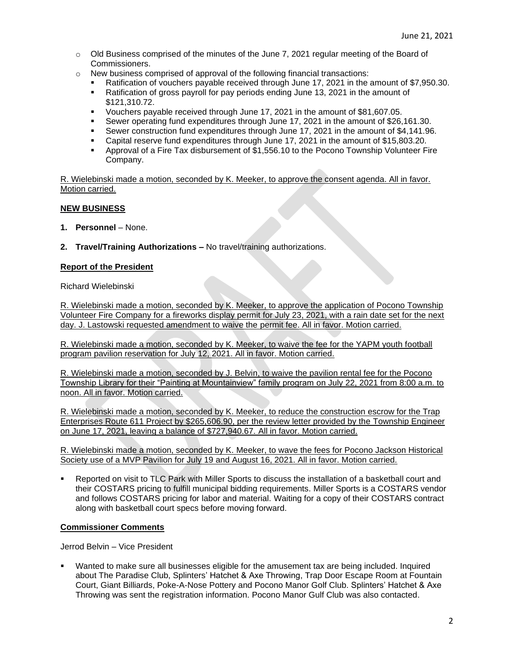- $\circ$  Old Business comprised of the minutes of the June 7, 2021 regular meeting of the Board of Commissioners.
- $\circ$  New business comprised of approval of the following financial transactions:
	- Ratification of vouchers payable received through June 17, 2021 in the amount of \$7,950.30.
	- Ratification of gross payroll for pay periods ending June 13, 2021 in the amount of \$121,310.72.
	- Vouchers payable received through June 17, 2021 in the amount of \$81,607.05.
	- Sewer operating fund expenditures through June 17, 2021 in the amount of \$26,161.30.
	- **•** Sewer construction fund expenditures through June 17, 2021 in the amount of \$4,141.96.
	- Capital reserve fund expenditures through June 17, 2021 in the amount of \$15,803.20.
	- Approval of a Fire Tax disbursement of \$1,556.10 to the Pocono Township Volunteer Fire Company.

R. Wielebinski made a motion, seconded by K. Meeker, to approve the consent agenda. All in favor. Motion carried.

## **NEW BUSINESS**

- **1. Personnel** None.
- **2. Travel/Training Authorizations –** No travel/training authorizations.

## **Report of the President**

Richard Wielebinski

R. Wielebinski made a motion, seconded by K. Meeker, to approve the application of Pocono Township Volunteer Fire Company for a fireworks display permit for July 23, 2021, with a rain date set for the next day. J. Lastowski requested amendment to waive the permit fee. All in favor. Motion carried.

R. Wielebinski made a motion, seconded by K. Meeker, to waive the fee for the YAPM youth football program pavilion reservation for July 12, 2021. All in favor. Motion carried.

R. Wielebinski made a motion, seconded by J. Belvin, to waive the pavilion rental fee for the Pocono Township Library for their "Painting at Mountainview" family program on July 22, 2021 from 8:00 a.m. to noon. All in favor. Motion carried.

R. Wielebinski made a motion, seconded by K. Meeker, to reduce the construction escrow for the Trap Enterprises Route 611 Project by \$265,606.90, per the review letter provided by the Township Engineer on June 17, 2021, leaving a balance of \$727,940.67. All in favor. Motion carried.

R. Wielebinski made a motion, seconded by K. Meeker, to wave the fees for Pocono Jackson Historical Society use of a MVP Pavilion for July 19 and August 16, 2021. All in favor. Motion carried.

Reported on visit to TLC Park with Miller Sports to discuss the installation of a basketball court and their COSTARS pricing to fulfill municipal bidding requirements. Miller Sports is a COSTARS vendor and follows COSTARS pricing for labor and material. Waiting for a copy of their COSTARS contract along with basketball court specs before moving forward.

## **Commissioner Comments**

Jerrod Belvin – Vice President

Wanted to make sure all businesses eligible for the amusement tax are being included. Inquired about The Paradise Club, Splinters' Hatchet & Axe Throwing, Trap Door Escape Room at Fountain Court, Giant Billiards, Poke-A-Nose Pottery and Pocono Manor Golf Club. Splinters' Hatchet & Axe Throwing was sent the registration information. Pocono Manor Gulf Club was also contacted.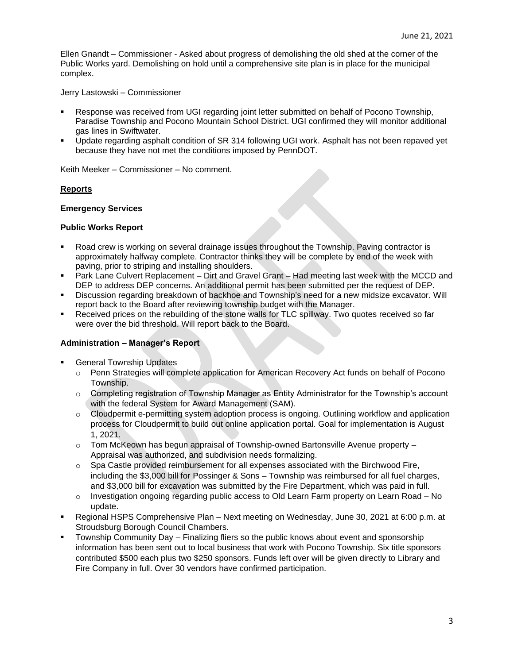Ellen Gnandt – Commissioner - Asked about progress of demolishing the old shed at the corner of the Public Works yard. Demolishing on hold until a comprehensive site plan is in place for the municipal complex.

#### Jerry Lastowski – Commissioner

- Response was received from UGI regarding joint letter submitted on behalf of Pocono Township, Paradise Township and Pocono Mountain School District. UGI confirmed they will monitor additional gas lines in Swiftwater.
- Update regarding asphalt condition of SR 314 following UGI work. Asphalt has not been repaved yet because they have not met the conditions imposed by PennDOT.

Keith Meeker – Commissioner – No comment.

## **Reports**

## **Emergency Services**

## **Public Works Report**

- Road crew is working on several drainage issues throughout the Township. Paving contractor is approximately halfway complete. Contractor thinks they will be complete by end of the week with paving, prior to striping and installing shoulders.
- Park Lane Culvert Replacement Dirt and Gravel Grant Had meeting last week with the MCCD and DEP to address DEP concerns. An additional permit has been submitted per the request of DEP.
- Discussion regarding breakdown of backhoe and Township's need for a new midsize excavator. Will report back to the Board after reviewing township budget with the Manager.
- Received prices on the rebuilding of the stone walls for TLC spillway. Two quotes received so far were over the bid threshold. Will report back to the Board.

## **Administration – Manager's Report**

- **General Township Updates** 
	- o Penn Strategies will complete application for American Recovery Act funds on behalf of Pocono Township.
	- $\circ$  Completing registration of Township Manager as Entity Administrator for the Township's account with the federal System for Award Management (SAM).
	- o Cloudpermit e-permitting system adoption process is ongoing. Outlining workflow and application process for Cloudpermit to build out online application portal. Goal for implementation is August 1, 2021.
	- o Tom McKeown has begun appraisal of Township-owned Bartonsville Avenue property Appraisal was authorized, and subdivision needs formalizing.
	- $\circ$  Spa Castle provided reimbursement for all expenses associated with the Birchwood Fire, including the \$3,000 bill for Possinger & Sons – Township was reimbursed for all fuel charges, and \$3,000 bill for excavation was submitted by the Fire Department, which was paid in full.
	- $\circ$  Investigation ongoing regarding public access to Old Learn Farm property on Learn Road No update.
- Regional HSPS Comprehensive Plan Next meeting on Wednesday, June 30, 2021 at 6:00 p.m. at Stroudsburg Borough Council Chambers.
- Township Community Day Finalizing fliers so the public knows about event and sponsorship information has been sent out to local business that work with Pocono Township. Six title sponsors contributed \$500 each plus two \$250 sponsors. Funds left over will be given directly to Library and Fire Company in full. Over 30 vendors have confirmed participation.